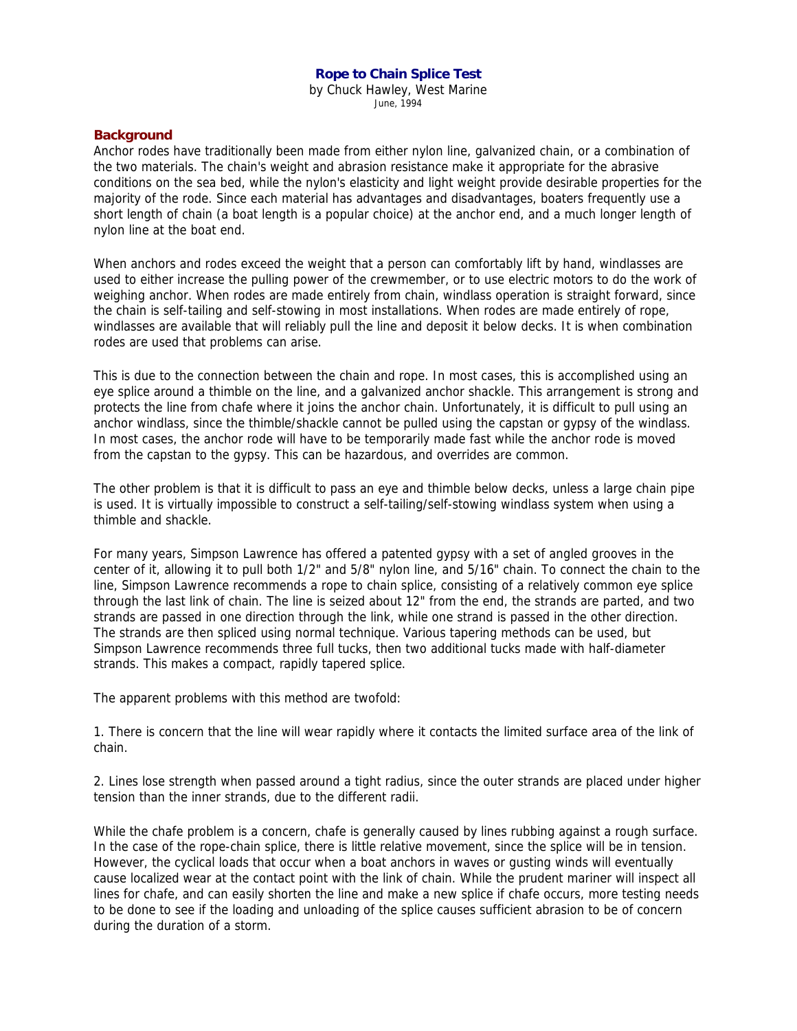### **Rope to Chain Splice Test**

by Chuck Hawley, West Marine June, 1994

### **Background**

Anchor rodes have traditionally been made from either nylon line, galvanized chain, or a combination of the two materials. The chain's weight and abrasion resistance make it appropriate for the abrasive conditions on the sea bed, while the nylon's elasticity and light weight provide desirable properties for the majority of the rode. Since each material has advantages and disadvantages, boaters frequently use a short length of chain (a boat length is a popular choice) at the anchor end, and a much longer length of nylon line at the boat end.

When anchors and rodes exceed the weight that a person can comfortably lift by hand, windlasses are used to either increase the pulling power of the crewmember, or to use electric motors to do the work of weighing anchor. When rodes are made entirely from chain, windlass operation is straight forward, since the chain is self-tailing and self-stowing in most installations. When rodes are made entirely of rope, windlasses are available that will reliably pull the line and deposit it below decks. It is when combination rodes are used that problems can arise.

This is due to the connection between the chain and rope. In most cases, this is accomplished using an eye splice around a thimble on the line, and a galvanized anchor shackle. This arrangement is strong and protects the line from chafe where it joins the anchor chain. Unfortunately, it is difficult to pull using an anchor windlass, since the thimble/shackle cannot be pulled using the capstan or gypsy of the windlass. In most cases, the anchor rode will have to be temporarily made fast while the anchor rode is moved from the capstan to the gypsy. This can be hazardous, and overrides are common.

The other problem is that it is difficult to pass an eye and thimble below decks, unless a large chain pipe is used. It is virtually impossible to construct a self-tailing/self-stowing windlass system when using a thimble and shackle.

For many years, Simpson Lawrence has offered a patented gypsy with a set of angled grooves in the center of it, allowing it to pull both 1/2" and 5/8" nylon line, and 5/16" chain. To connect the chain to the line, Simpson Lawrence recommends a rope to chain splice, consisting of a relatively common eye splice through the last link of chain. The line is seized about 12" from the end, the strands are parted, and two strands are passed in one direction through the link, while one strand is passed in the other direction. The strands are then spliced using normal technique. Various tapering methods can be used, but Simpson Lawrence recommends three full tucks, then two additional tucks made with half-diameter strands. This makes a compact, rapidly tapered splice.

The apparent problems with this method are twofold:

1. There is concern that the line will wear rapidly where it contacts the limited surface area of the link of chain.

2. Lines lose strength when passed around a tight radius, since the outer strands are placed under higher tension than the inner strands, due to the different radii.

While the chafe problem is a concern, chafe is generally caused by lines rubbing against a rough surface. In the case of the rope-chain splice, there is little relative movement, since the splice will be in tension. However, the cyclical loads that occur when a boat anchors in waves or gusting winds will eventually cause localized wear at the contact point with the link of chain. While the prudent mariner will inspect all lines for chafe, and can easily shorten the line and make a new splice if chafe occurs, more testing needs to be done to see if the loading and unloading of the splice causes sufficient abrasion to be of concern during the duration of a storm.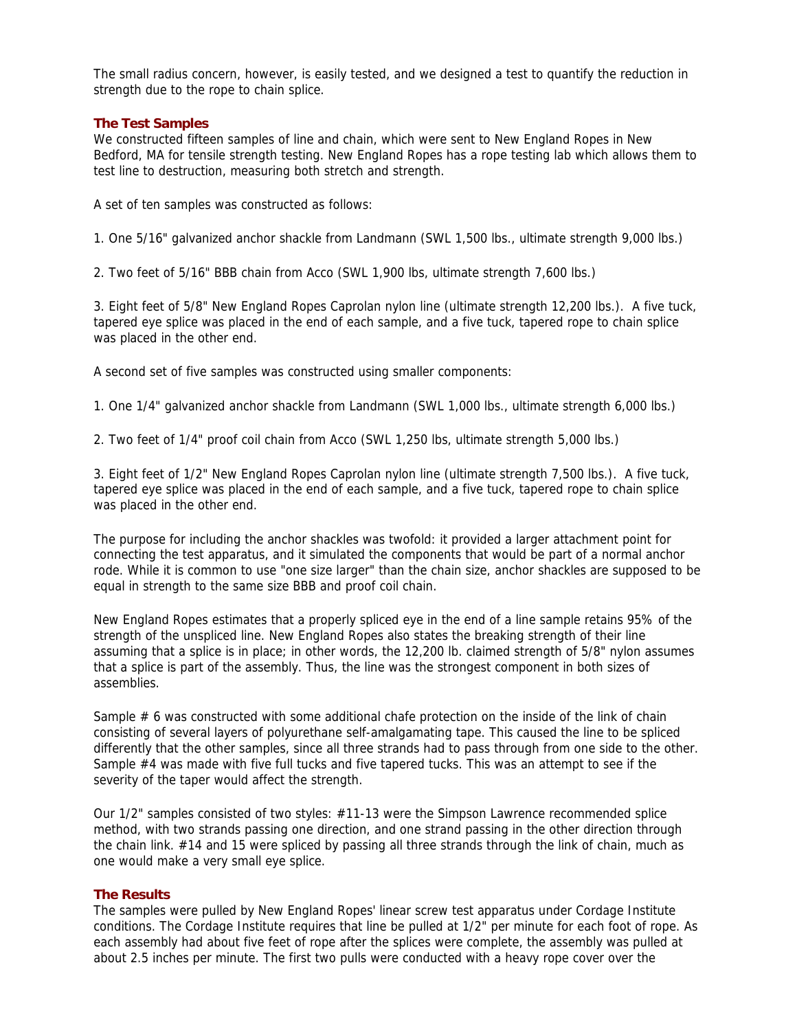The small radius concern, however, is easily tested, and we designed a test to quantify the reduction in strength due to the rope to chain splice.

## **The Test Samples**

We constructed fifteen samples of line and chain, which were sent to New England Ropes in New Bedford, MA for tensile strength testing. New England Ropes has a rope testing lab which allows them to test line to destruction, measuring both stretch and strength.

A set of ten samples was constructed as follows:

1. One 5/16" galvanized anchor shackle from Landmann (SWL 1,500 lbs., ultimate strength 9,000 lbs.)

2. Two feet of 5/16" BBB chain from Acco (SWL 1,900 lbs, ultimate strength 7,600 lbs.)

3. Eight feet of 5/8" New England Ropes Caprolan nylon line (ultimate strength 12,200 lbs.). A five tuck, tapered eye splice was placed in the end of each sample, and a five tuck, tapered rope to chain splice was placed in the other end.

A second set of five samples was constructed using smaller components:

1. One 1/4" galvanized anchor shackle from Landmann (SWL 1,000 lbs., ultimate strength 6,000 lbs.)

2. Two feet of 1/4" proof coil chain from Acco (SWL 1,250 lbs, ultimate strength 5,000 lbs.)

3. Eight feet of 1/2" New England Ropes Caprolan nylon line (ultimate strength 7,500 lbs.). A five tuck, tapered eye splice was placed in the end of each sample, and a five tuck, tapered rope to chain splice was placed in the other end.

The purpose for including the anchor shackles was twofold: it provided a larger attachment point for connecting the test apparatus, and it simulated the components that would be part of a normal anchor rode. While it is common to use "one size larger" than the chain size, anchor shackles are supposed to be equal in strength to the same size BBB and proof coil chain.

New England Ropes estimates that a properly spliced eye in the end of a line sample retains 95% of the strength of the unspliced line. New England Ropes also states the breaking strength of their line assuming that a splice is in place; in other words, the 12,200 lb. claimed strength of 5/8" nylon assumes that a splice is part of the assembly. Thus, the line was the strongest component in both sizes of assemblies.

Sample # 6 was constructed with some additional chafe protection on the inside of the link of chain consisting of several layers of polyurethane self-amalgamating tape. This caused the line to be spliced differently that the other samples, since all three strands had to pass through from one side to the other. Sample #4 was made with five full tucks and five tapered tucks. This was an attempt to see if the severity of the taper would affect the strength.

Our 1/2" samples consisted of two styles: #11-13 were the Simpson Lawrence recommended splice method, with two strands passing one direction, and one strand passing in the other direction through the chain link. #14 and 15 were spliced by passing all three strands through the link of chain, much as one would make a very small eye splice.

# **The Results**

The samples were pulled by New England Ropes' linear screw test apparatus under Cordage Institute conditions. The Cordage Institute requires that line be pulled at 1/2" per minute for each foot of rope. As each assembly had about five feet of rope after the splices were complete, the assembly was pulled at about 2.5 inches per minute. The first two pulls were conducted with a heavy rope cover over the